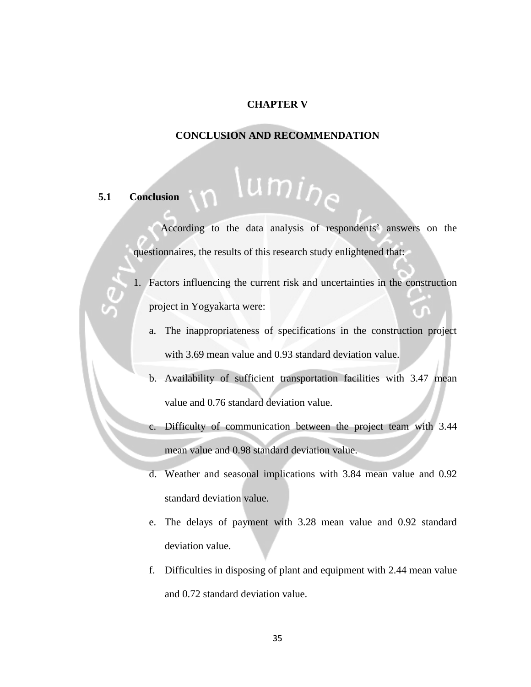### **CHAPTER V**

### **CONCLUSION AND RECOMMENDATION**

## **5.1 Conclusion**

# umi<sub>he</sub>

According to the data analysis of respondents' answers on the questionnaires, the results of this research study enlightened that:

1. Factors influencing the current risk and uncertainties in the construction project in Yogyakarta were:

- a. The inappropriateness of specifications in the construction project with 3.69 mean value and 0.93 standard deviation value.
- b. Availability of sufficient transportation facilities with 3.47 mean value and 0.76 standard deviation value.
- c. Difficulty of communication between the project team with 3.44 mean value and 0.98 standard deviation value.
- d. Weather and seasonal implications with 3.84 mean value and 0.92 standard deviation value.
- e. The delays of payment with 3.28 mean value and 0.92 standard deviation value.
- f. Difficulties in disposing of plant and equipment with 2.44 mean value and 0.72 standard deviation value.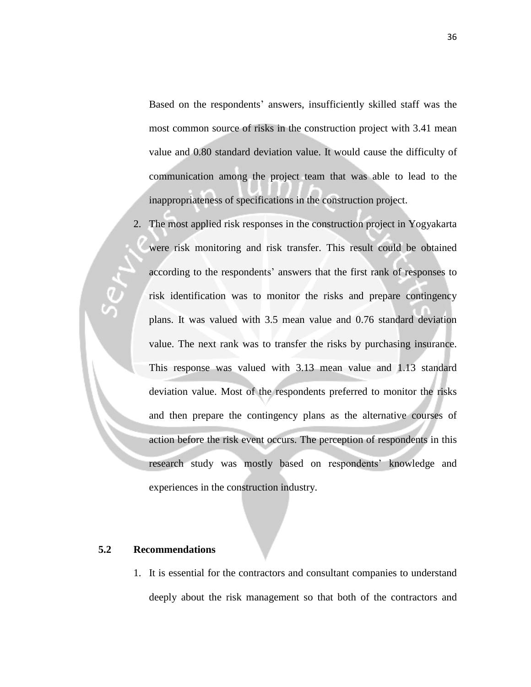Based on the respondents' answers, insufficiently skilled staff was the most common source of risks in the construction project with 3.41 mean value and 0.80 standard deviation value. It would cause the difficulty of communication among the project team that was able to lead to the inappropriateness of specifications in the construction project.

2. The most applied risk responses in the construction project in Yogyakarta were risk monitoring and risk transfer. This result could be obtained according to the respondents' answers that the first rank of responses to risk identification was to monitor the risks and prepare contingency plans. It was valued with 3.5 mean value and 0.76 standard deviation value. The next rank was to transfer the risks by purchasing insurance. This response was valued with 3.13 mean value and 1.13 standard deviation value. Most of the respondents preferred to monitor the risks and then prepare the contingency plans as the alternative courses of action before the risk event occurs. The perception of respondents in this research study was mostly based on respondents' knowledge and experiences in the construction industry.

### **5.2 Recommendations**

1. It is essential for the contractors and consultant companies to understand deeply about the risk management so that both of the contractors and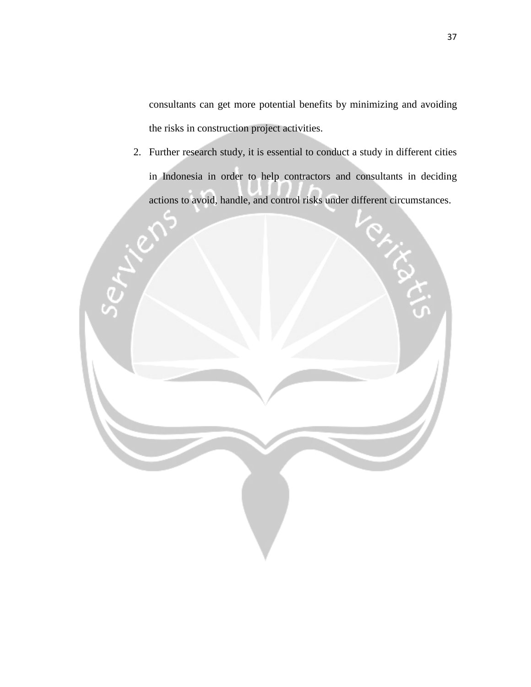consultants can get more potential benefits by minimizing and avoiding the risks in construction project activities.

2. Further research study, it is essential to conduct a study in different cities in Indonesia in order to help contractors and consultants in deciding actions to avoid, handle, and control risks under different circumstances.

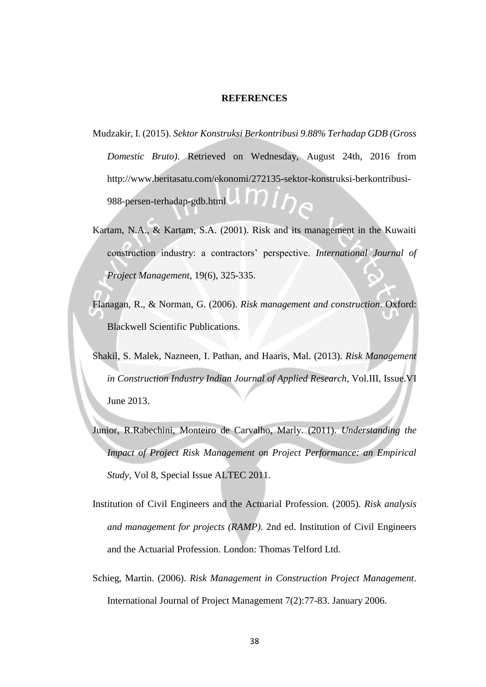#### **REFERENCES**

- Mudzakir, I. (2015). *Sektor Konstruksi Berkontribusi 9.88% Terhadap GDB (Gross Domestic Bruto)*. Retrieved on Wednesday, August 24th, 2016 from http://www.beritasatu.com/ekonomi/272135-sektor-konstruksi-berkontribusi-988-persen-terhadap-gdb.html
- Kartam, N.A., & Kartam, S.A. (2001). Risk and its management in the Kuwaiti construction industry: a contractors' perspective. *International Journal of Project Management*, 19(6), 325-335.
- Flanagan, R., & Norman, G. (2006). *Risk management and construction*. Oxford: Blackwell Scientific Publications.
- Shakil, S. Malek, Nazneen, I. Pathan, and Haaris, Mal. (2013). *Risk Management in Construction Industry Indian Journal of Applied Research*, Vol.III, Issue.VI June 2013.
- Junior, R.Rabechini, Monteiro de Carvalho, Marly. (2011). *Understanding the Impact of Project Risk Management on Project Performance: an Empirical Study*, Vol 8, Special Issue ALTEC 2011.
- Institution of Civil Engineers and the Actuarial Profession. (2005). *Risk analysis and management for projects (RAMP)*. 2nd ed. Institution of Civil Engineers and the Actuarial Profession. London: Thomas Telford Ltd.
- Schieg, Martin. (2006). *Risk Management in Construction Project Management*. International Journal of Project Management 7(2):77-83. January 2006.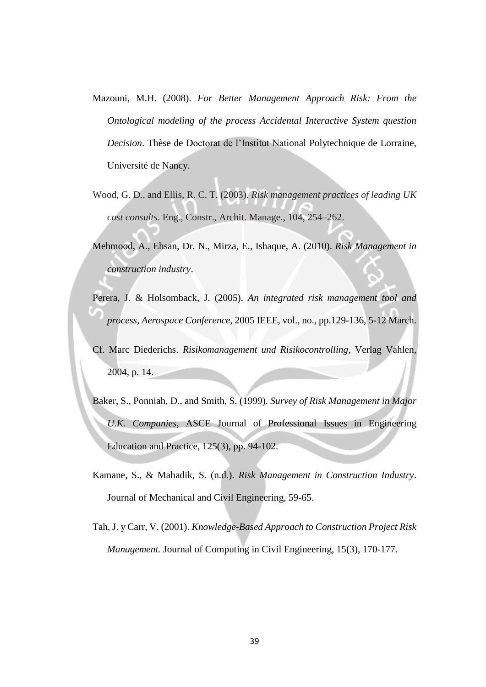- Mazouni, M.H. (2008). *For Better Management Approach Risk: From the Ontological modeling of the process Accidental Interactive System question Decision*. Thèse de Doctorat de l'Institut National Polytechnique de Lorraine, Université de Nancy.
- Wood, G. D., and Ellis, R. C. T. (2003). *Risk management practices of leading UK cost consults*. Eng., Constr., Archit. Manage*.*, 104, 254–262.
- Mehmood, A., Ehsan, Dr. N., Mirza, E., Ishaque, A. (2010). *Risk Management in construction industry*.
- Perera, J. & Holsomback, J. (2005). *An integrated risk management tool and process, Aerospace Conference*, 2005 IEEE, vol., no., pp.129-136, 5-12 March.
- Cf. Marc Diederichs. *Risikomanagement und Risikocontrolling*, Verlag Vahlen, 2004, p. 14.
- Baker, S., Ponniah, D., and Smith, S. (1999). *Survey of Risk Management in Major U.K. Companies*, ASCE Journal of Professional Issues in Engineering Education and Practice, 125(3), pp. 94-102.
- Kamane, S., & Mahadik, S. (n.d.). *Risk Management in Construction Industry*. Journal of Mechanical and Civil Engineering, 59-65.
- Tah, J. y Carr, V. (2001). *Knowledge-Based Approach to Construction Project Risk Management.* Journal of Computing in Civil Engineering, 15(3), 170-177.